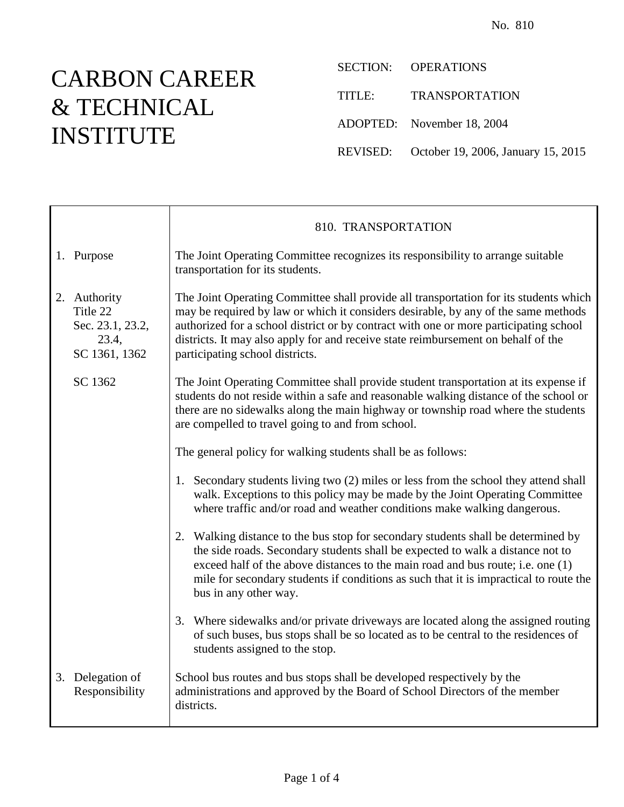## CARBON CAREER & TECHNICAL INSTITUTE

SECTION: OPERATIONS TITLE: TRANSPORTATION ADOPTED: November 18, 2004 REVISED: October 19, 2006, January 15, 2015

|                                                                        | 810. TRANSPORTATION                                                                                                                                                                                                                                                                                                                                                                          |
|------------------------------------------------------------------------|----------------------------------------------------------------------------------------------------------------------------------------------------------------------------------------------------------------------------------------------------------------------------------------------------------------------------------------------------------------------------------------------|
| 1. Purpose                                                             | The Joint Operating Committee recognizes its responsibility to arrange suitable<br>transportation for its students.                                                                                                                                                                                                                                                                          |
| 2. Authority<br>Title 22<br>Sec. 23.1, 23.2,<br>23.4,<br>SC 1361, 1362 | The Joint Operating Committee shall provide all transportation for its students which<br>may be required by law or which it considers desirable, by any of the same methods<br>authorized for a school district or by contract with one or more participating school<br>districts. It may also apply for and receive state reimbursement on behalf of the<br>participating school districts. |
| SC 1362                                                                | The Joint Operating Committee shall provide student transportation at its expense if<br>students do not reside within a safe and reasonable walking distance of the school or<br>there are no sidewalks along the main highway or township road where the students<br>are compelled to travel going to and from school.                                                                      |
|                                                                        | The general policy for walking students shall be as follows:                                                                                                                                                                                                                                                                                                                                 |
|                                                                        | 1. Secondary students living two (2) miles or less from the school they attend shall<br>walk. Exceptions to this policy may be made by the Joint Operating Committee<br>where traffic and/or road and weather conditions make walking dangerous.                                                                                                                                             |
|                                                                        | 2. Walking distance to the bus stop for secondary students shall be determined by<br>the side roads. Secondary students shall be expected to walk a distance not to<br>exceed half of the above distances to the main road and bus route; i.e. one (1)<br>mile for secondary students if conditions as such that it is impractical to route the<br>bus in any other way.                     |
|                                                                        | 3. Where sidewalks and/or private driveways are located along the assigned routing<br>of such buses, bus stops shall be so located as to be central to the residences of<br>students assigned to the stop.                                                                                                                                                                                   |
| 3. Delegation of<br>Responsibility                                     | School bus routes and bus stops shall be developed respectively by the<br>administrations and approved by the Board of School Directors of the member<br>districts.                                                                                                                                                                                                                          |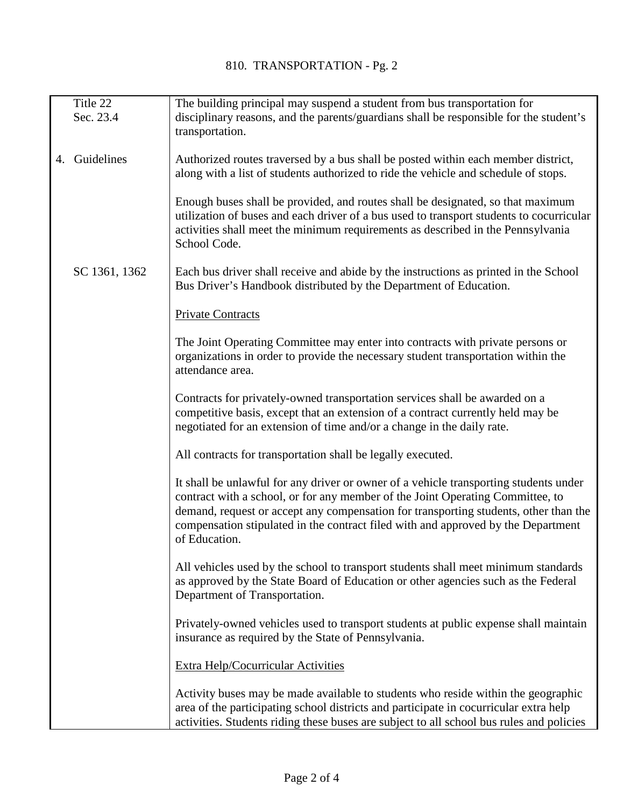|    | Title 22      | The building principal may suspend a student from bus transportation for                 |
|----|---------------|------------------------------------------------------------------------------------------|
|    | Sec. 23.4     | disciplinary reasons, and the parents/guardians shall be responsible for the student's   |
|    |               | transportation.                                                                          |
|    |               |                                                                                          |
| 4. | Guidelines    | Authorized routes traversed by a bus shall be posted within each member district,        |
|    |               | along with a list of students authorized to ride the vehicle and schedule of stops.      |
|    |               |                                                                                          |
|    |               | Enough buses shall be provided, and routes shall be designated, so that maximum          |
|    |               | utilization of buses and each driver of a bus used to transport students to cocurricular |
|    |               | activities shall meet the minimum requirements as described in the Pennsylvania          |
|    |               | School Code.                                                                             |
|    |               |                                                                                          |
|    | SC 1361, 1362 | Each bus driver shall receive and abide by the instructions as printed in the School     |
|    |               | Bus Driver's Handbook distributed by the Department of Education.                        |
|    |               |                                                                                          |
|    |               | <b>Private Contracts</b>                                                                 |
|    |               |                                                                                          |
|    |               | The Joint Operating Committee may enter into contracts with private persons or           |
|    |               | organizations in order to provide the necessary student transportation within the        |
|    |               | attendance area.                                                                         |
|    |               |                                                                                          |
|    |               | Contracts for privately-owned transportation services shall be awarded on a              |
|    |               | competitive basis, except that an extension of a contract currently held may be          |
|    |               | negotiated for an extension of time and/or a change in the daily rate.                   |
|    |               |                                                                                          |
|    |               | All contracts for transportation shall be legally executed.                              |
|    |               |                                                                                          |
|    |               | It shall be unlawful for any driver or owner of a vehicle transporting students under    |
|    |               | contract with a school, or for any member of the Joint Operating Committee, to           |
|    |               | demand, request or accept any compensation for transporting students, other than the     |
|    |               | compensation stipulated in the contract filed with and approved by the Department        |
|    |               | of Education.                                                                            |
|    |               |                                                                                          |
|    |               | All vehicles used by the school to transport students shall meet minimum standards       |
|    |               | as approved by the State Board of Education or other agencies such as the Federal        |
|    |               | Department of Transportation.                                                            |
|    |               |                                                                                          |
|    |               | Privately-owned vehicles used to transport students at public expense shall maintain     |
|    |               | insurance as required by the State of Pennsylvania.                                      |
|    |               |                                                                                          |
|    |               | Extra Help/Cocurricular Activities                                                       |
|    |               | Activity buses may be made available to students who reside within the geographic        |
|    |               | area of the participating school districts and participate in cocurricular extra help    |
|    |               | activities. Students riding these buses are subject to all school bus rules and policies |
|    |               |                                                                                          |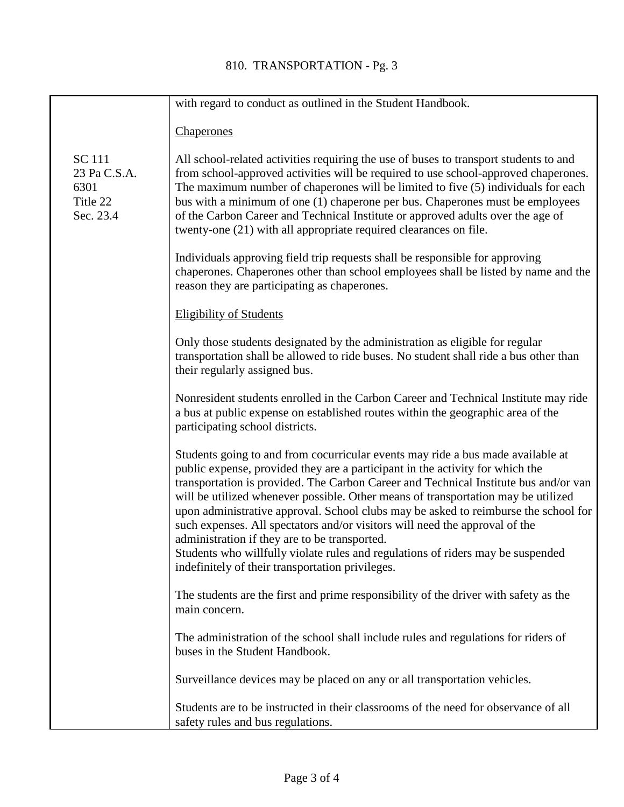|                                                                | with regard to conduct as outlined in the Student Handbook.                                                                                                                                                                                                                                                                                                                                                                                                                                                                                                          |
|----------------------------------------------------------------|----------------------------------------------------------------------------------------------------------------------------------------------------------------------------------------------------------------------------------------------------------------------------------------------------------------------------------------------------------------------------------------------------------------------------------------------------------------------------------------------------------------------------------------------------------------------|
|                                                                | <b>Chaperones</b>                                                                                                                                                                                                                                                                                                                                                                                                                                                                                                                                                    |
| <b>SC</b> 111<br>23 Pa C.S.A.<br>6301<br>Title 22<br>Sec. 23.4 | All school-related activities requiring the use of buses to transport students to and<br>from school-approved activities will be required to use school-approved chaperones.<br>The maximum number of chaperones will be limited to five (5) individuals for each<br>bus with a minimum of one (1) chaperone per bus. Chaperones must be employees<br>of the Carbon Career and Technical Institute or approved adults over the age of<br>twenty-one (21) with all appropriate required clearances on file.                                                           |
|                                                                | Individuals approving field trip requests shall be responsible for approving<br>chaperones. Chaperones other than school employees shall be listed by name and the<br>reason they are participating as chaperones.                                                                                                                                                                                                                                                                                                                                                   |
|                                                                | <b>Eligibility of Students</b>                                                                                                                                                                                                                                                                                                                                                                                                                                                                                                                                       |
|                                                                | Only those students designated by the administration as eligible for regular<br>transportation shall be allowed to ride buses. No student shall ride a bus other than<br>their regularly assigned bus.                                                                                                                                                                                                                                                                                                                                                               |
|                                                                | Nonresident students enrolled in the Carbon Career and Technical Institute may ride<br>a bus at public expense on established routes within the geographic area of the<br>participating school districts.                                                                                                                                                                                                                                                                                                                                                            |
|                                                                | Students going to and from cocurricular events may ride a bus made available at<br>public expense, provided they are a participant in the activity for which the<br>transportation is provided. The Carbon Career and Technical Institute bus and/or van<br>will be utilized whenever possible. Other means of transportation may be utilized<br>upon administrative approval. School clubs may be asked to reimburse the school for<br>such expenses. All spectators and/or visitors will need the approval of the<br>administration if they are to be transported. |
|                                                                | Students who willfully violate rules and regulations of riders may be suspended<br>indefinitely of their transportation privileges.                                                                                                                                                                                                                                                                                                                                                                                                                                  |
|                                                                | The students are the first and prime responsibility of the driver with safety as the<br>main concern.                                                                                                                                                                                                                                                                                                                                                                                                                                                                |
|                                                                | The administration of the school shall include rules and regulations for riders of<br>buses in the Student Handbook.                                                                                                                                                                                                                                                                                                                                                                                                                                                 |
|                                                                | Surveillance devices may be placed on any or all transportation vehicles.                                                                                                                                                                                                                                                                                                                                                                                                                                                                                            |
|                                                                | Students are to be instructed in their classrooms of the need for observance of all<br>safety rules and bus regulations.                                                                                                                                                                                                                                                                                                                                                                                                                                             |